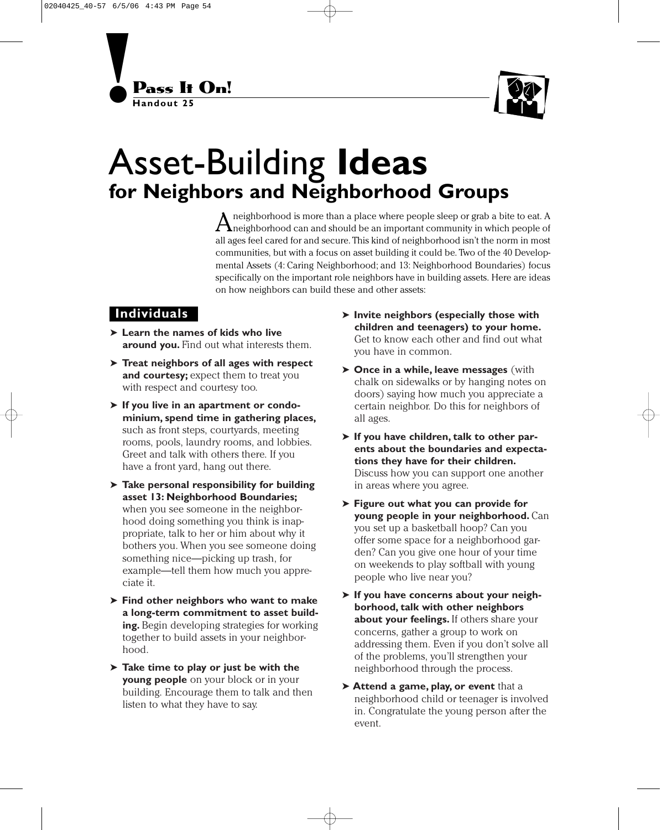



## Asset-Building **Ideas for Neighbors and Neighborhood Groups**

Aneighborhood is more than a place where people sleep or grab a bite to eat. A neighborhood can and should be an important community in which people of all ages feel cared for and secure. This kind of neighborhood isn't the norm in most communities, but with a focus on asset building it could be. Two of the 40 Developmental Assets (4: Caring Neighborhood; and 13: Neighborhood Boundaries) focus specifically on the important role neighbors have in building assets. Here are ideas on how neighbors can build these and other assets:

## **Individuals**

- ➤ **Learn the names of kids who live around you.** Find out what interests them.
- ➤ **Treat neighbors of all ages with respect and courtesy;** expect them to treat you with respect and courtesy too.
- ➤ **If you live in an apartment or condominium, spend time in gathering places,** such as front steps, courtyards, meeting rooms, pools, laundry rooms, and lobbies. Greet and talk with others there. If you have a front yard, hang out there.
- ➤ **Take personal responsibility for building asset 13: Neighborhood Boundaries;** when you see someone in the neighborhood doing something you think is inappropriate, talk to her or him about why it bothers you. When you see someone doing something nice—picking up trash, for example—tell them how much you appreciate it.
- ➤ **Find other neighbors who want to make a long-term commitment to asset building.** Begin developing strategies for working together to build assets in your neighborhood.
- ➤ **Take time to play or just be with the young people** on your block or in your building. Encourage them to talk and then listen to what they have to say.
- ➤ **Invite neighbors (especially those with children and teenagers) to your home.** Get to know each other and find out what you have in common.
- ➤ **Once in a while, leave messages** (with chalk on sidewalks or by hanging notes on doors) saying how much you appreciate a certain neighbor. Do this for neighbors of all ages.
- ➤ **If you have children, talk to other parents about the boundaries and expectations they have for their children.** Discuss how you can support one another in areas where you agree.
- ➤ **Figure out what you can provide for young people in your neighborhood.** Can you set up a basketball hoop? Can you offer some space for a neighborhood garden? Can you give one hour of your time on weekends to play softball with young people who live near you?
- ➤ **If you have concerns about your neighborhood, talk with other neighbors about your feelings.** If others share your concerns, gather a group to work on addressing them. Even if you don't solve all of the problems, you'll strengthen your neighborhood through the process.
- ➤ **Attend a game, play, or event** that a neighborhood child or teenager is involved in. Congratulate the young person after the event.